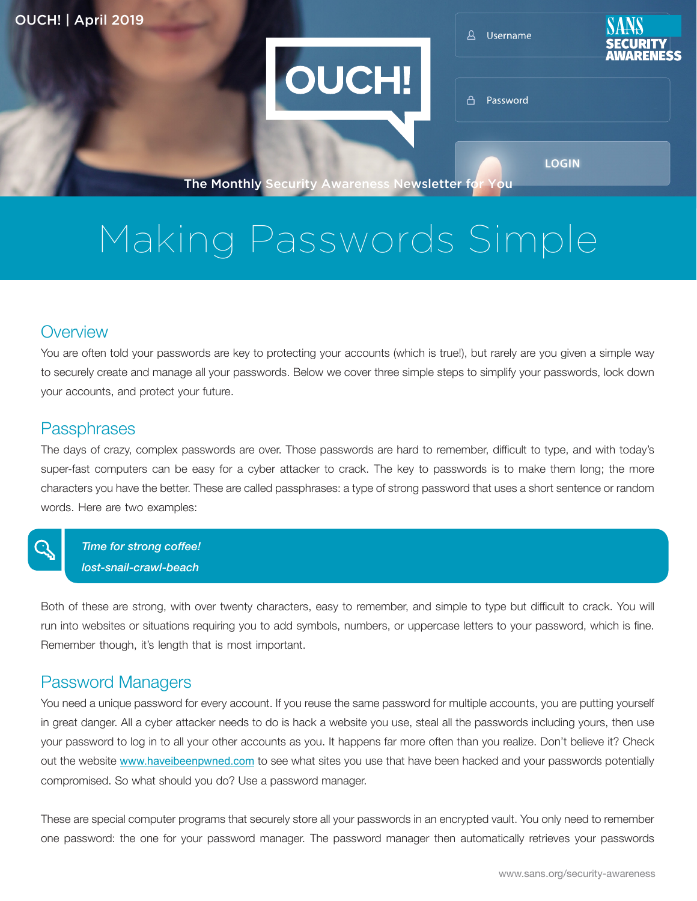**OUCH!** 

A Username



A Password

**LOGIN** 

The Monthly Security Awareness Newsletter for You

# Making Passwords Simple

#### **Overview**

You are often told your passwords are key to protecting your accounts (which is true!), but rarely are you given a simple way to securely create and manage all your passwords. Below we cover three simple steps to simplify your passwords, lock down your accounts, and protect your future.

#### **Passphrases**

િ

The days of crazy, complex passwords are over. Those passwords are hard to remember, difficult to type, and with today's super-fast computers can be easy for a cyber attacker to crack. The key to passwords is to make them long; the more characters you have the better. These are called passphrases: a type of strong password that uses a short sentence or random words. Here are two examples:

**Time for strong coffee!** *bost-snail-crawl-beach* 

Both of these are strong, with over twenty characters, easy to remember, and simple to type but difficult to crack. You will run into websites or situations requiring you to add symbols, numbers, or uppercase letters to your password, which is fine. Remember though, it's length that is most important.

#### Password Managers

You need a unique password for every account. If you reuse the same password for multiple accounts, you are putting yourself in great danger. All a cyber attacker needs to do is hack a website you use, steal all the passwords including yours, then use your password to log in to all your other accounts as you. It happens far more often than you realize. Don't believe it? Check out the website www.haveibeenpwned.com to see what sites you use that have been hacked and your passwords potentially compromised. So what should you do? Use a password manager.

These are special computer programs that securely store all your passwords in an encrypted vault. You only need to remember one password: the one for your password manager. The password manager then automatically retrieves your passwords